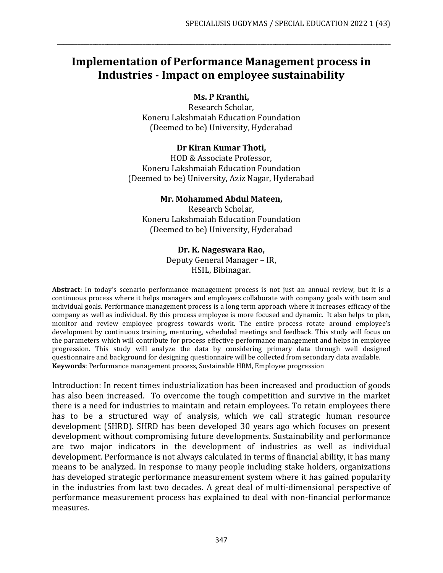# **Implementation of Performance Management process in Industries - Impact on employee sustainability**

\_\_\_\_\_\_\_\_\_\_\_\_\_\_\_\_\_\_\_\_\_\_\_\_\_\_\_\_\_\_\_\_\_\_\_\_\_\_\_\_\_\_\_\_\_\_\_\_\_\_\_\_\_\_\_\_\_\_\_\_\_\_\_\_\_\_\_\_\_\_\_\_\_\_\_\_\_\_\_\_\_\_\_\_\_\_\_\_\_\_\_\_\_\_\_\_\_\_\_\_\_\_\_\_\_\_\_\_\_\_\_\_\_

## **Ms. P Kranthi,**

Research Scholar, Koneru Lakshmaiah Education Foundation (Deemed to be) University, Hyderabad

#### **Dr Kiran Kumar Thoti,**

HOD & Associate Professor, Koneru Lakshmaiah Education Foundation (Deemed to be) University, Aziz Nagar, Hyderabad

#### **Mr. Mohammed Abdul Mateen,**

Research Scholar, Koneru Lakshmaiah Education Foundation (Deemed to be) University, Hyderabad

#### **Dr. K. Nageswara Rao,**

Deputy General Manager – IR, HSIL, Bibinagar.

**Abstract**: In today's scenario performance management process is not just an annual review, but it is a continuous process where it helps managers and employees collaborate with company goals with team and individual goals. Performance management process is a long term approach where it increases efficacy of the company as well as individual. By this process employee is more focused and dynamic. It also helps to plan, monitor and review employee progress towards work. The entire process rotate around employee's development by continuous training, mentoring, scheduled meetings and feedback. This study will focus on the parameters which will contribute for process effective performance management and helps in employee progression. This study will analyze the data by considering primary data through well designed questionnaire and background for designing questionnaire will be collected from secondary data available. **Keywords**: Performance management process, Sustainable HRM, Employee progression

Introduction: In recent times industrialization has been increased and production of goods has also been increased. To overcome the tough competition and survive in the market there is a need for industries to maintain and retain employees. To retain employees there has to be a structured way of analysis, which we call strategic human resource development (SHRD). SHRD has been developed 30 years ago which focuses on present development without compromising future developments. Sustainability and performance are two major indicators in the development of industries as well as individual development. Performance is not always calculated in terms of financial ability, it has many means to be analyzed. In response to many people including stake holders, organizations has developed strategic performance measurement system where it has gained popularity in the industries from last two decades. A great deal of multi-dimensional perspective of performance measurement process has explained to deal with non-financial performance measures.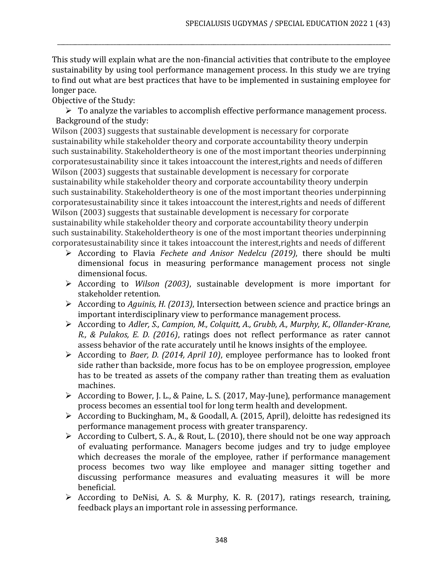This study will explain what are the non-financial activities that contribute to the employee sustainability by using tool performance management process. In this study we are trying to find out what are best practices that have to be implemented in sustaining employee for longer pace.

\_\_\_\_\_\_\_\_\_\_\_\_\_\_\_\_\_\_\_\_\_\_\_\_\_\_\_\_\_\_\_\_\_\_\_\_\_\_\_\_\_\_\_\_\_\_\_\_\_\_\_\_\_\_\_\_\_\_\_\_\_\_\_\_\_\_\_\_\_\_\_\_\_\_\_\_\_\_\_\_\_\_\_\_\_\_\_\_\_\_\_\_\_\_\_\_\_\_\_\_\_\_\_\_\_\_\_\_\_\_\_\_\_

Objective of the Study:

 $\triangleright$  To analyze the variables to accomplish effective performance management process. Background of the study:

Wilson (2003) suggests that sustainable development is necessary for corporate sustainability while stakeholder theory and corporate accountability theory underpin such sustainability. Stakeholdertheory is one of the most important theories underpinning corporatesustainability since it takes intoaccount the interest,rights and needs of differen Wilson (2003) suggests that sustainable development is necessary for corporate sustainability while stakeholder theory and corporate accountability theory underpin such sustainability. Stakeholdertheory is one of the most important theories underpinning corporatesustainability since it takes intoaccount the interest,rights and needs of different Wilson (2003) suggests that sustainable development is necessary for corporate sustainability while stakeholder theory and corporate accountability theory underpin such sustainability. Stakeholdertheory is one of the most important theories underpinning corporatesustainability since it takes intoaccount the interest,rights and needs of different

- ➢ According to Flavia *Fechete and Anisor Nedelcu (2019)*, there should be multi dimensional focus in measuring performance management process not single dimensional focus.
- ➢ According to *Wilson (2003)*, sustainable development is more important for stakeholder retention.
- ➢ According to *Aguinis, H. (2013)*, Intersection between science and practice brings an important interdisciplinary view to performance management process.
- ➢ According to *Adler, S., Campion, M., Colquitt, A., Grubb, A., Murphy, K., Ollander-Krane, R., & Pulakos, E. D. (2016)*, ratings does not reflect performance as rater cannot assess behavior of the rate accurately until he knows insights of the employee.
- ➢ According to *Baer, D. (2014, April 10)*, employee performance has to looked front side rather than backside, more focus has to be on employee progression, employee has to be treated as assets of the company rather than treating them as evaluation machines.
- ➢ According to Bower, J. L., & Paine, L. S. (2017, May-June), performance management process becomes an essential tool for long term health and development.
- ➢ According to Buckingham, M., & Goodall, A. (2015, April), deloitte has redesigned its performance management process with greater transparency.
- $\triangleright$  According to Culbert, S. A., & Rout, L. (2010), there should not be one way approach of evaluating performance. Managers become judges and try to judge employee which decreases the morale of the employee, rather if performance management process becomes two way like employee and manager sitting together and discussing performance measures and evaluating measures it will be more beneficial.
- ➢ According to DeNisi, A. S. & Murphy, K. R. (2017), ratings research, training, feedback plays an important role in assessing performance.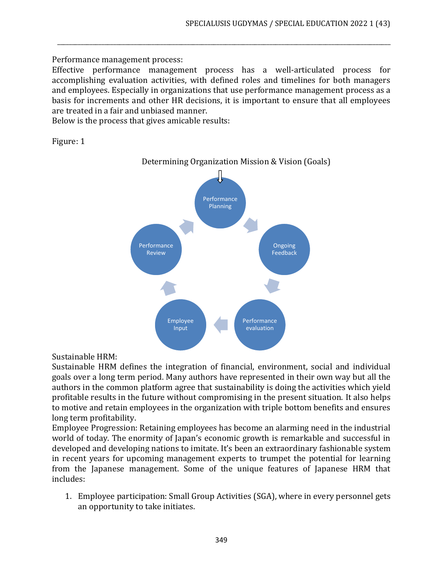Performance management process:

Effective performance management process has a well-articulated process for accomplishing evaluation activities, with defined roles and timelines for both managers and employees. Especially in organizations that use performance management process as a basis for increments and other HR decisions, it is important to ensure that all employees are treated in a fair and unbiased manner.

\_\_\_\_\_\_\_\_\_\_\_\_\_\_\_\_\_\_\_\_\_\_\_\_\_\_\_\_\_\_\_\_\_\_\_\_\_\_\_\_\_\_\_\_\_\_\_\_\_\_\_\_\_\_\_\_\_\_\_\_\_\_\_\_\_\_\_\_\_\_\_\_\_\_\_\_\_\_\_\_\_\_\_\_\_\_\_\_\_\_\_\_\_\_\_\_\_\_\_\_\_\_\_\_\_\_\_\_\_\_\_\_\_

Below is the process that gives amicable results:

Figure: 1



## Sustainable HRM:

Sustainable HRM defines the integration of financial, environment, social and individual goals over a long term period. Many authors have represented in their own way but all the authors in the common platform agree that sustainability is doing the activities which yield profitable results in the future without compromising in the present situation. It also helps to motive and retain employees in the organization with triple bottom benefits and ensures long term profitability.

Employee Progression: Retaining employees has become an alarming need in the industrial world of today. The enormity of Japan's economic growth is remarkable and successful in developed and developing nations to imitate. It's been an extraordinary fashionable system in recent years for upcoming management experts to trumpet the potential for learning from the Japanese management. Some of the unique features of Japanese HRM that includes:

1. Employee participation: Small Group Activities (SGA), where in every personnel gets an opportunity to take initiates.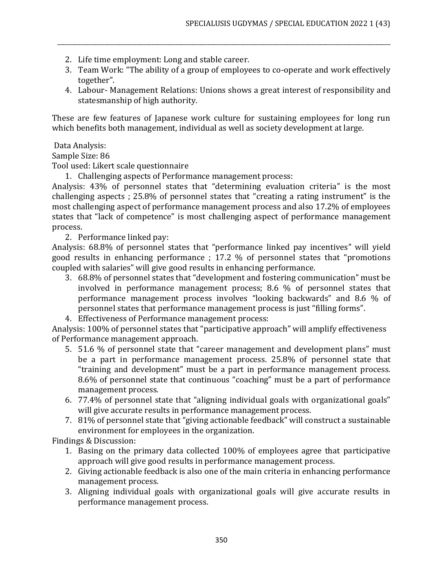- 2. Life time employment: Long and stable career.
- 3. Team Work: "The ability of a group of employees to co-operate and work effectively together".

\_\_\_\_\_\_\_\_\_\_\_\_\_\_\_\_\_\_\_\_\_\_\_\_\_\_\_\_\_\_\_\_\_\_\_\_\_\_\_\_\_\_\_\_\_\_\_\_\_\_\_\_\_\_\_\_\_\_\_\_\_\_\_\_\_\_\_\_\_\_\_\_\_\_\_\_\_\_\_\_\_\_\_\_\_\_\_\_\_\_\_\_\_\_\_\_\_\_\_\_\_\_\_\_\_\_\_\_\_\_\_\_\_

4. Labour- Management Relations: Unions shows a great interest of responsibility and statesmanship of high authority.

These are few features of Japanese work culture for sustaining employees for long run which benefits both management, individual as well as society development at large.

Data Analysis:

Sample Size: 86

Tool used: Likert scale questionnaire

1. Challenging aspects of Performance management process:

Analysis: 43% of personnel states that "determining evaluation criteria" is the most challenging aspects ; 25.8% of personnel states that "creating a rating instrument" is the most challenging aspect of performance management process and also 17.2% of employees states that "lack of competence" is most challenging aspect of performance management process.

2. Performance linked pay:

Analysis: 68.8% of personnel states that "performance linked pay incentives" will yield good results in enhancing performance ; 17.2 % of personnel states that "promotions coupled with salaries" will give good results in enhancing performance.

- 3. 68.8% of personnel states that "development and fostering communication" must be involved in performance management process; 8.6 % of personnel states that performance management process involves "looking backwards" and 8.6 % of personnel states that performance management process is just "filling forms".
- 4. Effectiveness of Performance management process:

Analysis: 100% of personnel states that "participative approach" will amplify effectiveness of Performance management approach.

- 5. 51.6 % of personnel state that "career management and development plans" must be a part in performance management process. 25.8% of personnel state that "training and development" must be a part in performance management process. 8.6% of personnel state that continuous "coaching" must be a part of performance management process.
- 6. 77.4% of personnel state that "aligning individual goals with organizational goals" will give accurate results in performance management process.
- 7. 81% of personnel state that "giving actionable feedback" will construct a sustainable environment for employees in the organization.

Findings & Discussion:

- 1. Basing on the primary data collected 100% of employees agree that participative approach will give good results in performance management process.
- 2. Giving actionable feedback is also one of the main criteria in enhancing performance management process.
- 3. Aligning individual goals with organizational goals will give accurate results in performance management process.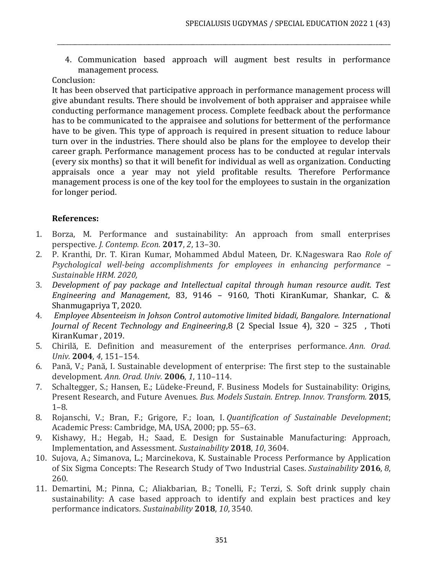4. Communication based approach will augment best results in performance management process.

\_\_\_\_\_\_\_\_\_\_\_\_\_\_\_\_\_\_\_\_\_\_\_\_\_\_\_\_\_\_\_\_\_\_\_\_\_\_\_\_\_\_\_\_\_\_\_\_\_\_\_\_\_\_\_\_\_\_\_\_\_\_\_\_\_\_\_\_\_\_\_\_\_\_\_\_\_\_\_\_\_\_\_\_\_\_\_\_\_\_\_\_\_\_\_\_\_\_\_\_\_\_\_\_\_\_\_\_\_\_\_\_\_

# Conclusion:

It has been observed that participative approach in performance management process will give abundant results. There should be involvement of both appraiser and appraisee while conducting performance management process. Complete feedback about the performance has to be communicated to the appraisee and solutions for betterment of the performance have to be given. This type of approach is required in present situation to reduce labour turn over in the industries. There should also be plans for the employee to develop their career graph. Performance management process has to be conducted at regular intervals (every six months) so that it will benefit for individual as well as organization. Conducting appraisals once a year may not yield profitable results. Therefore Performance management process is one of the key tool for the employees to sustain in the organization for longer period.

## **References:**

- 1. Borza, M. Performance and sustainability: An approach from small enterprises perspective. *J. Contemp. Econ.* **2017**, *2*, 13–30.
- 2. P. Kranthi, Dr. T. Kiran Kumar, Mohammed Abdul Mateen, Dr. K.Nageswara Rao *Role of Psychological well-being accomplishments for employees in enhancing performance – Sustainable HRM. 2020,*
- 3. *Development of pay package and Intellectual capital through human resource audit. Test Engineering and Management*, 83, 9146 – 9160, Thoti KiranKumar, Shankar, C. & Shanmugapriya T, 2020.
- 4. *Employee Absenteeism in Johson Control automotive limited bidadi, Bangalore. International Journal of Recent Technology and Engineering*,8 (2 Special Issue 4), 320 – 325 , Thoti KiranKumar , 2019.
- 5. Chirilă, E. Definition and measurement of the enterprises performance. *Ann. Orad. Univ.* **2004**, *4*, 151–154.
- 6. Pană, V.; Pană, I. Sustainable development of enterprise: The first step to the sustainable development. *Ann. Orad. Univ.* **2006**, *1*, 110–114.
- 7. Schaltegger, S.; Hansen, E.; Lüdeke-Freund, F. Business Models for Sustainability: Origins, Present Research, and Future Avenues. *Bus. Models Sustain. Entrep. Innov. Transform.* **2015**, 1–8.
- 8. Rojanschi, V.; Bran, F.; Grigore, F.; Ioan, I. *Quantification of Sustainable Development*; Academic Press: Cambridge, MA, USA, 2000; pp. 55–63.
- 9. Kishawy, H.; Hegab, H.; Saad, E. Design for Sustainable Manufacturing: Approach, Implementation, and Assessment. *Sustainability* **2018**, *10*, 3604.
- 10. Sujova, A.; Simanova, L.; Marcinekova, K. Sustainable Process Performance by Application of Six Sigma Concepts: The Research Study of Two Industrial Cases. *Sustainability* **2016**, *8*, 260.
- 11. Demartini, M.; Pinna, C.; Aliakbarian, B.; Tonelli, F.; Terzi, S. Soft drink supply chain sustainability: A case based approach to identify and explain best practices and key performance indicators. *Sustainability* **2018**, *10*, 3540.